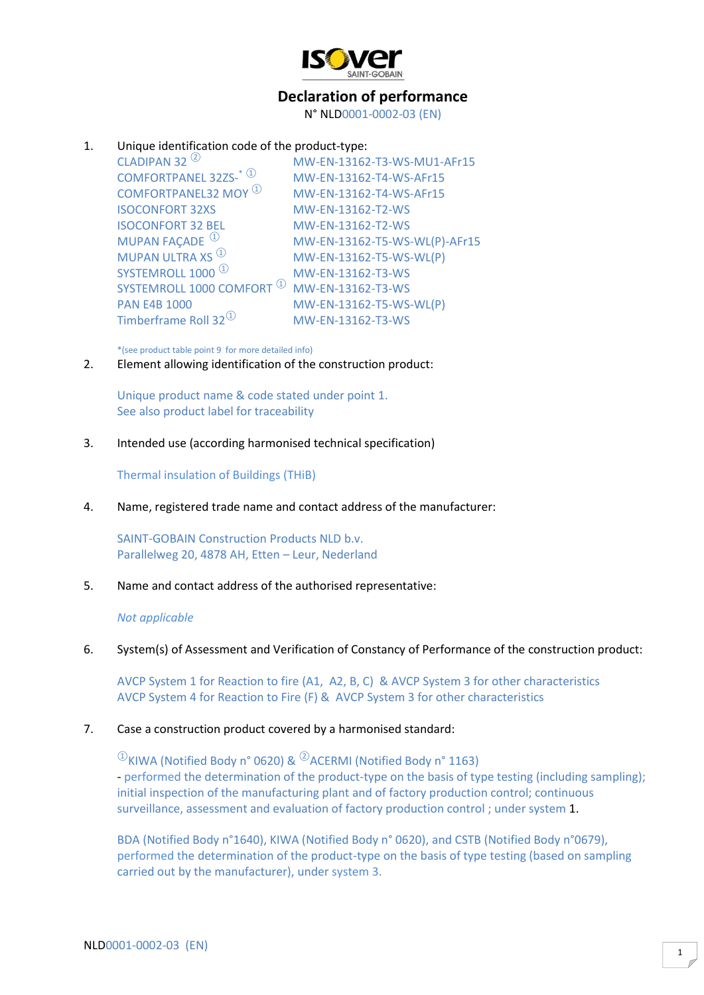

# **Declaration of performance**

N° NLD0001-0002-03 (EN)

# 1. Unique identification code of the product-type:

| MW-EN-13162-T3-WS-MU1-AFr15   |
|-------------------------------|
| MW-EN-13162-T4-WS-AFr15       |
| MW-EN-13162-T4-WS-AFr15       |
| MW-EN-13162-T2-WS             |
| MW-EN-13162-T2-WS             |
| MW-EN-13162-T5-WS-WL(P)-AFr15 |
| MW-EN-13162-T5-WS-WL(P)       |
| MW-EN-13162-T3-WS             |
| MW-EN-13162-T3-WS             |
| MW-EN-13162-T5-WS-WL(P)       |
| MW-EN-13162-T3-WS             |
|                               |

\*(see product table point 9 for more detailed info)

2. Element allowing identification of the construction product:

Unique product name & code stated under point 1. See also product label for traceability

3. Intended use (according harmonised technical specification)

Thermal insulation of Buildings (THiB)

4. Name, registered trade name and contact address of the manufacturer:

SAINT-GOBAIN Construction Products NLD b.v. Parallelweg 20, 4878 AH, Etten – Leur, Nederland

5. Name and contact address of the authorised representative:

## *Not applicable*

#### 6. System(s) of Assessment and Verification of Constancy of Performance of the construction product:

AVCP System 1 for Reaction to fire (A1, A2, B, C) & AVCP System 3 for other characteristics AVCP System 4 for Reaction to Fire (F) & AVCP System 3 for other characteristics

# 7. Case a construction product covered by a harmonised standard:

 $^{\circledR}$ KIWA (Notified Body n° 0620) &  $^{\circledR}$ ACERMI (Notified Body n° 1163) - performed the determination of the product-type on the basis of type testing (including sampling); initial inspection of the manufacturing plant and of factory production control; continuous surveillance, assessment and evaluation of factory production control ; under system 1.

BDA (Notified Body n°1640), KIWA (Notified Body n° 0620), and CSTB (Notified Body n°0679), performed the determination of the product-type on the basis of type testing (based on sampling carried out by the manufacturer), under system 3.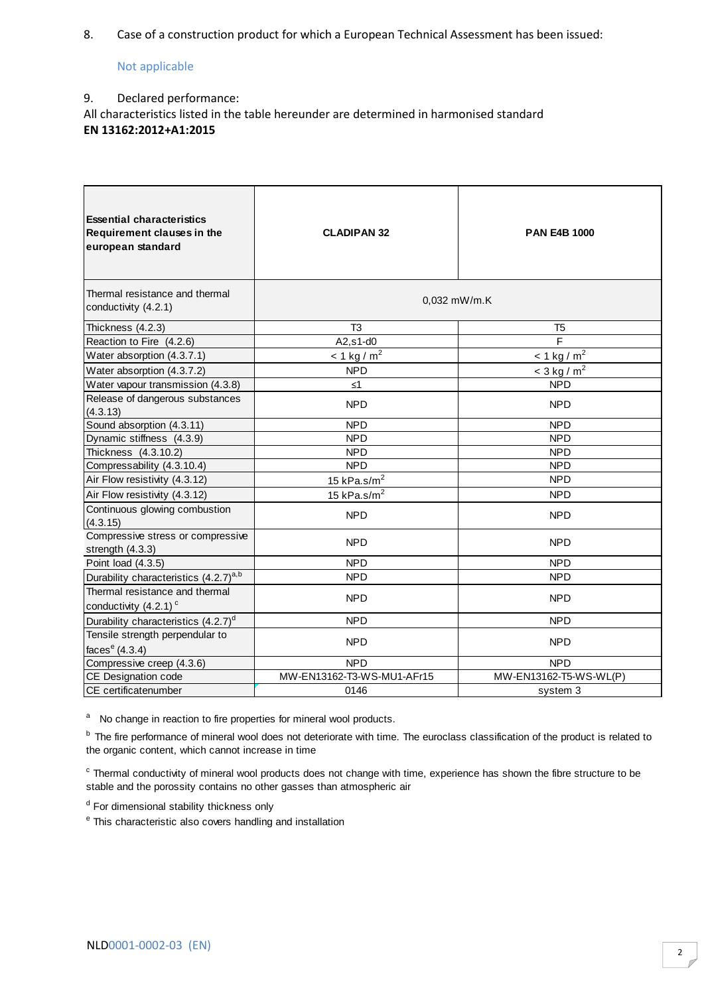8. Case of a construction product for which a European Technical Assessment has been issued:

## Not applicable

## 9. Declared performance:

All characteristics listed in the table hereunder are determined in harmonised standard **EN 13162:2012+A1:2015**

| <b>Essential characteristics</b><br>Requirement clauses in the<br>european standard | <b>CLADIPAN 32</b>           | <b>PAN E4B 1000</b>          |
|-------------------------------------------------------------------------------------|------------------------------|------------------------------|
| Thermal resistance and thermal<br>conductivity (4.2.1)                              |                              | $0.032$ mW/m.K               |
| Thickness (4.2.3)                                                                   | T <sub>3</sub>               | T <sub>5</sub>               |
| Reaction to Fire (4.2.6)                                                            | $A2,s1-d0$                   | $\overline{F}$               |
| Water absorption (4.3.7.1)                                                          | $\leq 1$ kg / m <sup>2</sup> | $\leq 1$ kg / m <sup>2</sup> |
| Water absorption (4.3.7.2)                                                          | <b>NPD</b>                   | $<$ 3 kg / m <sup>2</sup>    |
| Water vapour transmission (4.3.8)                                                   | $\leq 1$                     | <b>NPD</b>                   |
| Release of dangerous substances<br>(4.3.13)                                         | <b>NPD</b>                   | <b>NPD</b>                   |
| Sound absorption (4.3.11)                                                           | <b>NPD</b>                   | <b>NPD</b>                   |
| Dynamic stiffness (4.3.9)                                                           | <b>NPD</b>                   | <b>NPD</b>                   |
| Thickness (4.3.10.2)                                                                | <b>NPD</b>                   | <b>NPD</b>                   |
| Compressability (4.3.10.4)                                                          | <b>NPD</b>                   | <b>NPD</b>                   |
| Air Flow resistivity (4.3.12)                                                       | 15 kPa.s/ $m2$               | NPD.                         |
| Air Flow resistivity (4.3.12)                                                       | 15 kPa.s/ $m2$               | <b>NPD</b>                   |
| Continuous glowing combustion<br>(4.3.15)                                           | <b>NPD</b>                   | <b>NPD</b>                   |
| Compressive stress or compressive<br>strength (4.3.3)                               | <b>NPD</b>                   | <b>NPD</b>                   |
| Point load (4.3.5)                                                                  | <b>NPD</b>                   | <b>NPD</b>                   |
| Durability characteristics (4.2.7) <sup>a,b</sup>                                   | <b>NPD</b>                   | <b>NPD</b>                   |
| Thermal resistance and thermal<br>conductivity $(4.2.1)$ <sup>c</sup>               | <b>NPD</b>                   | NPD.                         |
| Durability characteristics (4.2.7) <sup>d</sup>                                     | <b>NPD</b>                   | <b>NPD</b>                   |
| Tensile strength perpendular to<br>faces $e$ (4.3.4)                                | <b>NPD</b>                   | <b>NPD</b>                   |
| Compressive creep (4.3.6)                                                           | <b>NPD</b>                   | <b>NPD</b>                   |
| CE Designation code                                                                 | MW-EN13162-T3-WS-MU1-AFr15   | MW-EN13162-T5-WS-WL(P)       |
| CE certificatenumber                                                                | 0146                         | system 3                     |

<sup>a</sup> No change in reaction to fire properties for mineral wool products.

<sup>b</sup> The fire performance of mineral wool does not deteriorate with time. The euroclass classification of the product is related to the organic content, which cannot increase in time

 $\textdegree$  Thermal conductivity of mineral wool products does not change with time, experience has shown the fibre structure to be stable and the porossity contains no other gasses than atmospheric air

<sup>d</sup> For dimensional stability thickness only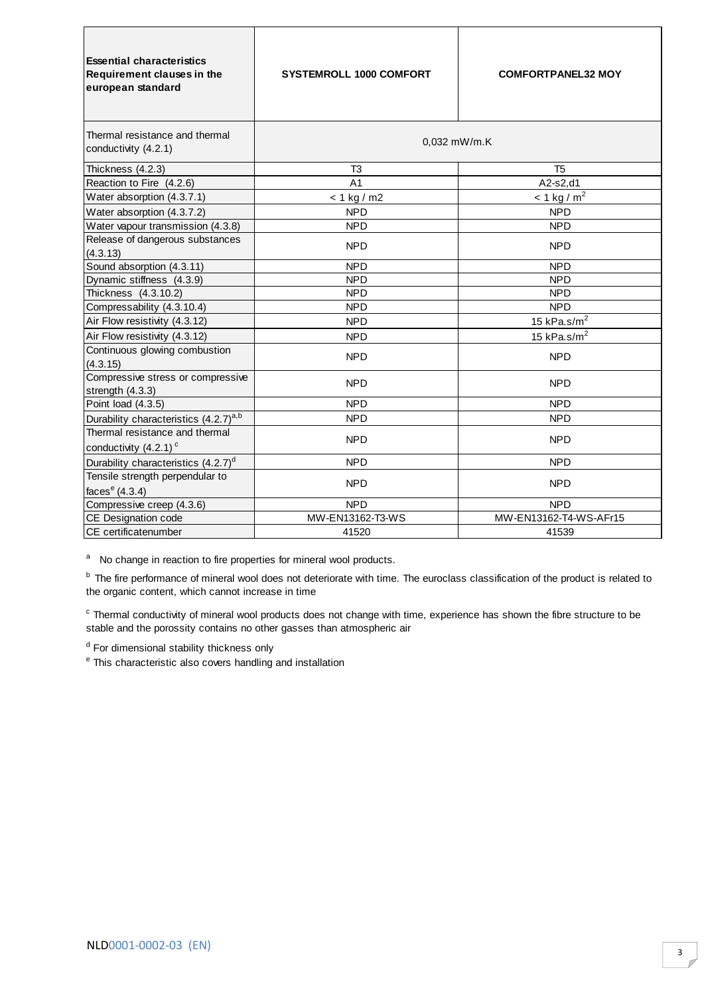| <b>Essential characteristics</b><br>Requirement clauses in the<br>european standard | <b>SYSTEMROLL 1000 COMFORT</b> | <b>COMFORTPANEL32 MOY</b> |
|-------------------------------------------------------------------------------------|--------------------------------|---------------------------|
| Thermal resistance and thermal<br>conductivity (4.2.1)                              | 0.032 mW/m.K                   |                           |
| Thickness (4.2.3)                                                                   | T <sub>3</sub>                 | T <sub>5</sub>            |
| Reaction to Fire (4.2.6)                                                            | A <sub>1</sub>                 | A2-s2,d1                  |
| Water absorption (4.3.7.1)                                                          | $< 1$ kg / m2                  | $< 1$ kg / m <sup>2</sup> |
| Water absorption (4.3.7.2)                                                          | <b>NPD</b>                     | <b>NPD</b>                |
| Water vapour transmission (4.3.8)                                                   | <b>NPD</b>                     | <b>NPD</b>                |
| Release of dangerous substances<br>(4.3.13)                                         | <b>NPD</b>                     | <b>NPD</b>                |
| Sound absorption (4.3.11)                                                           | <b>NPD</b>                     | <b>NPD</b>                |
| Dynamic stiffness (4.3.9)                                                           | <b>NPD</b>                     | <b>NPD</b>                |
| Thickness (4.3.10.2)                                                                | <b>NPD</b>                     | <b>NPD</b>                |
| Compressability (4.3.10.4)                                                          | <b>NPD</b>                     | <b>NPD</b>                |
| Air Flow resistivity (4.3.12)                                                       | <b>NPD</b>                     | 15 kPa.s/ $m2$            |
| Air Flow resistivity (4.3.12)                                                       | <b>NPD</b>                     | 15 kPa.s/ $m2$            |
| Continuous glowing combustion<br>(4.3.15)                                           | <b>NPD</b>                     | <b>NPD</b>                |
| Compressive stress or compressive<br>strength $(4.3.3)$                             | <b>NPD</b>                     | <b>NPD</b>                |
| Point load (4.3.5)                                                                  | <b>NPD</b>                     | <b>NPD</b>                |
| Durability characteristics (4.2.7) <sup>a,b</sup>                                   | <b>NPD</b>                     | <b>NPD</b>                |
| Thermal resistance and thermal<br>conductivity $(4.2.1)$ <sup>c</sup>               | <b>NPD</b>                     | <b>NPD</b>                |
| Durability characteristics (4.2.7) <sup>d</sup>                                     | <b>NPD</b>                     | <b>NPD</b>                |
| Tensile strength perpendular to<br>faces $e(4.3.4)$                                 | <b>NPD</b>                     | <b>NPD</b>                |
| Compressive creep (4.3.6)                                                           | <b>NPD</b>                     | <b>NPD</b>                |
| CE Designation code                                                                 | MW-EN13162-T3-WS               | MW-EN13162-T4-WS-AFr15    |
| CE certificatenumber                                                                | 41520                          | 41539                     |

<sup>b</sup> The fire performance of mineral wool does not deteriorate with time. The euroclass classification of the product is related to the organic content, which cannot increase in time

 $\textdegree$  Thermal conductivity of mineral wool products does not change with time, experience has shown the fibre structure to be stable and the porossity contains no other gasses than atmospheric air

<sup>d</sup> For dimensional stability thickness only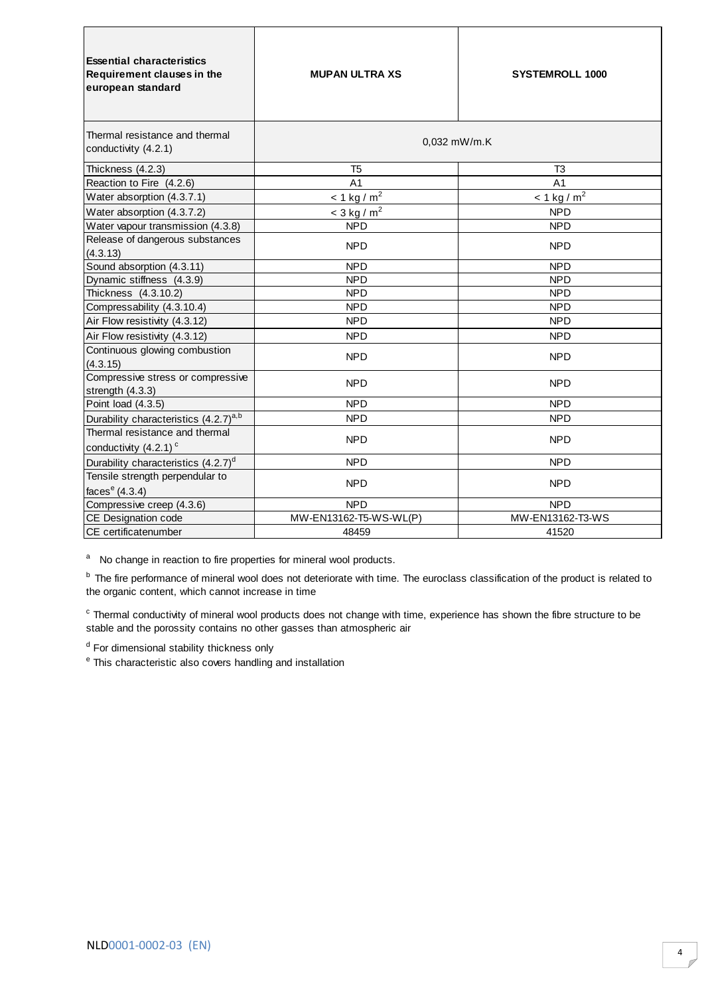| <b>Essential characteristics</b><br>Requirement clauses in the<br>european standard | <b>MUPAN ULTRA XS</b>     | <b>SYSTEMROLL 1000</b>    |
|-------------------------------------------------------------------------------------|---------------------------|---------------------------|
| Thermal resistance and thermal<br>conductivity (4.2.1)                              | 0.032 mW/m.K              |                           |
| Thickness (4.2.3)                                                                   | T <sub>5</sub>            | T3                        |
| Reaction to Fire (4.2.6)                                                            | A <sub>1</sub>            | A <sub>1</sub>            |
| Water absorption (4.3.7.1)                                                          | $< 1$ kg / m <sup>2</sup> | $< 1$ kg / m <sup>2</sup> |
| Water absorption (4.3.7.2)                                                          | $<$ 3 kg / m <sup>2</sup> | <b>NPD</b>                |
| Water vapour transmission (4.3.8)                                                   | <b>NPD</b>                | <b>NPD</b>                |
| Release of dangerous substances<br>(4.3.13)                                         | <b>NPD</b>                | <b>NPD</b>                |
| Sound absorption (4.3.11)                                                           | <b>NPD</b>                | <b>NPD</b>                |
| Dynamic stiffness (4.3.9)                                                           | <b>NPD</b>                | <b>NPD</b>                |
| Thickness (4.3.10.2)                                                                | <b>NPD</b>                | <b>NPD</b>                |
| Compressability (4.3.10.4)                                                          | <b>NPD</b>                | <b>NPD</b>                |
| Air Flow resistivity (4.3.12)                                                       | <b>NPD</b>                | <b>NPD</b>                |
| Air Flow resistivity (4.3.12)                                                       | <b>NPD</b>                | <b>NPD</b>                |
| Continuous glowing combustion<br>(4.3.15)                                           | <b>NPD</b>                | <b>NPD</b>                |
| Compressive stress or compressive<br>strength (4.3.3)                               | <b>NPD</b>                | <b>NPD</b>                |
| Point load (4.3.5)                                                                  | <b>NPD</b>                | <b>NPD</b>                |
| Durability characteristics (4.2.7) <sup>a,b</sup>                                   | <b>NPD</b>                | <b>NPD</b>                |
| Thermal resistance and thermal<br>conductivity (4.2.1) <sup>c</sup>                 | <b>NPD</b>                | <b>NPD</b>                |
| Durability characteristics (4.2.7) <sup>d</sup>                                     | <b>NPD</b>                | <b>NPD</b>                |
| Tensile strength perpendular to                                                     | <b>NPD</b>                | <b>NPD</b>                |
| faces $e(4.3.4)$                                                                    |                           |                           |
| Compressive creep (4.3.6)                                                           | <b>NPD</b>                | <b>NPD</b>                |
| CE Designation code                                                                 | MW-EN13162-T5-WS-WL(P)    | MW-EN13162-T3-WS          |
| CE certificatenumber                                                                | 48459                     | 41520                     |

<sup>b</sup> The fire performance of mineral wool does not deteriorate with time. The euroclass classification of the product is related to the organic content, which cannot increase in time

 $\textdegree$  Thermal conductivity of mineral wool products does not change with time, experience has shown the fibre structure to be stable and the porossity contains no other gasses than atmospheric air

<sup>d</sup> For dimensional stability thickness only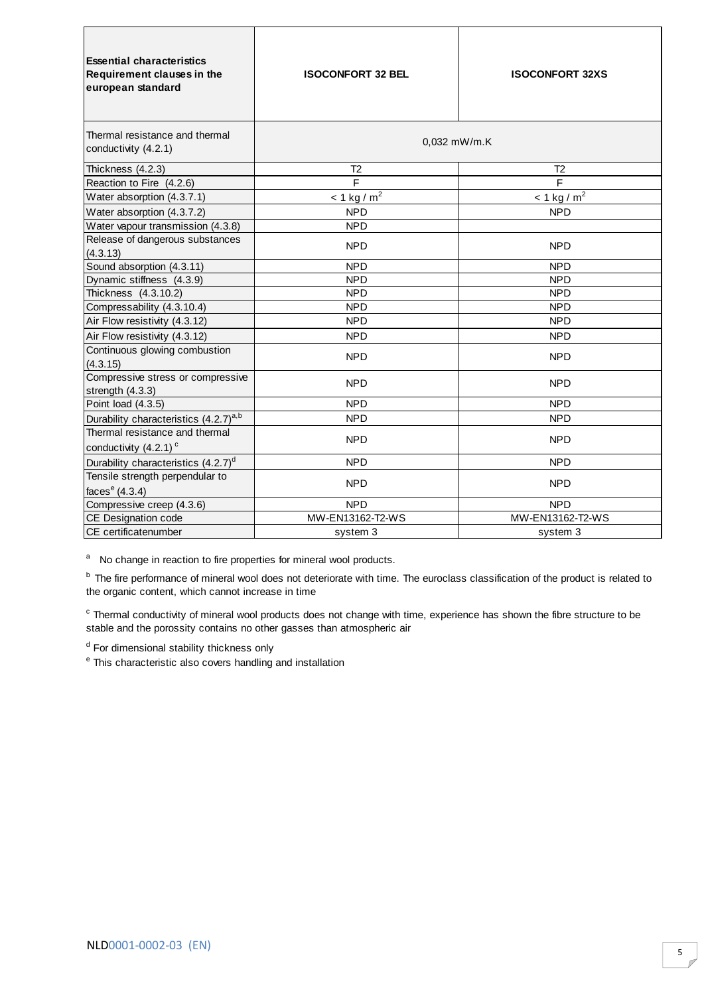| <b>Essential characteristics</b><br>Requirement clauses in the<br>european standard | <b>ISOCONFORT 32 BEL</b>  | <b>ISOCONFORT 32XS</b>    |
|-------------------------------------------------------------------------------------|---------------------------|---------------------------|
| Thermal resistance and thermal<br>conductivity (4.2.1)                              | 0.032 mW/m.K              |                           |
| Thickness (4.2.3)                                                                   | T <sub>2</sub>            | T <sub>2</sub>            |
| Reaction to Fire (4.2.6)                                                            | F                         | F                         |
| Water absorption (4.3.7.1)                                                          | $< 1$ kg / m <sup>2</sup> | $< 1$ kg / m <sup>2</sup> |
| Water absorption (4.3.7.2)                                                          | <b>NPD</b>                | <b>NPD</b>                |
| Water vapour transmission (4.3.8)                                                   | <b>NPD</b>                |                           |
| Release of dangerous substances<br>(4.3.13)                                         | <b>NPD</b>                | <b>NPD</b>                |
| Sound absorption (4.3.11)                                                           | <b>NPD</b>                | <b>NPD</b>                |
| Dynamic stiffness (4.3.9)                                                           | <b>NPD</b>                | <b>NPD</b>                |
| Thickness (4.3.10.2)                                                                | <b>NPD</b>                | <b>NPD</b>                |
| Compressability (4.3.10.4)                                                          | <b>NPD</b>                | <b>NPD</b>                |
| Air Flow resistivity (4.3.12)                                                       | <b>NPD</b>                | <b>NPD</b>                |
| Air Flow resistivity (4.3.12)                                                       | <b>NPD</b>                | <b>NPD</b>                |
| Continuous glowing combustion<br>(4.3.15)                                           | <b>NPD</b>                | <b>NPD</b>                |
| Compressive stress or compressive<br>strength $(4.3.3)$                             | <b>NPD</b>                | <b>NPD</b>                |
| Point load (4.3.5)                                                                  | <b>NPD</b>                | <b>NPD</b>                |
| Durability characteristics (4.2.7) <sup>a,b</sup>                                   | <b>NPD</b>                | <b>NPD</b>                |
| Thermal resistance and thermal<br>conductivity $(4.2.1)$ <sup>c</sup>               | <b>NPD</b>                | <b>NPD</b>                |
| Durability characteristics (4.2.7) <sup>d</sup>                                     | <b>NPD</b>                | <b>NPD</b>                |
| Tensile strength perpendular to<br>faces $e(4.3.4)$                                 | <b>NPD</b>                | <b>NPD</b>                |
| Compressive creep (4.3.6)                                                           | <b>NPD</b>                | <b>NPD</b>                |
| CE Designation code                                                                 | MW-EN13162-T2-WS          | MW-EN13162-T2-WS          |
| CE certificatenumber                                                                | system 3                  | system 3                  |

<sup>b</sup> The fire performance of mineral wool does not deteriorate with time. The euroclass classification of the product is related to the organic content, which cannot increase in time

 $\textdegree$  Thermal conductivity of mineral wool products does not change with time, experience has shown the fibre structure to be stable and the porossity contains no other gasses than atmospheric air

<sup>d</sup> For dimensional stability thickness only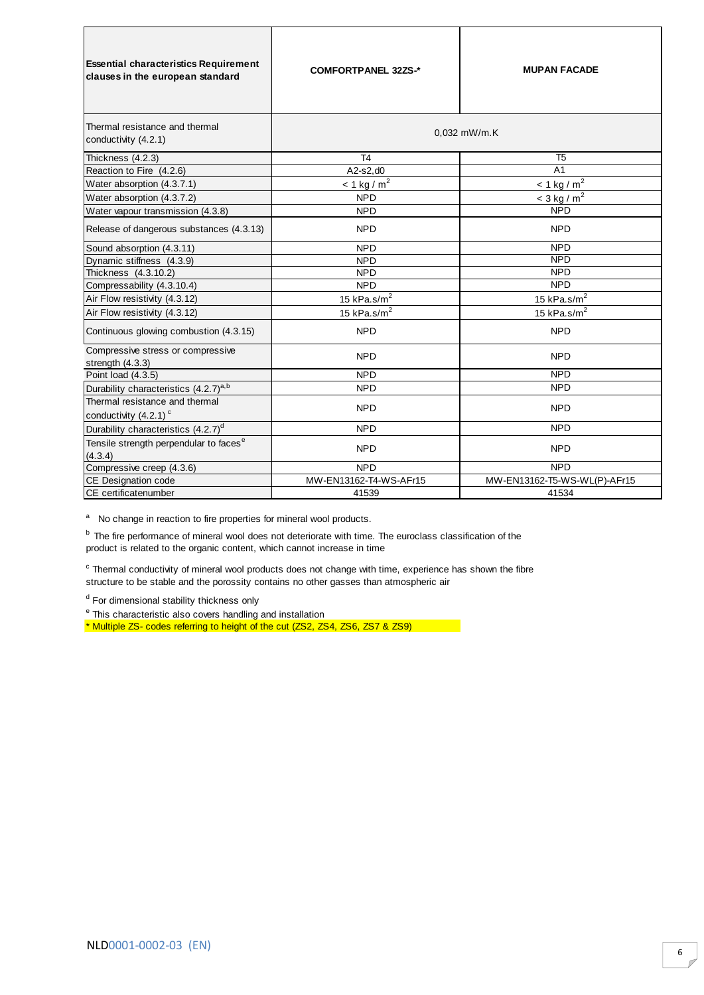| <b>Essential characteristics Requirement</b><br>clauses in the european standard | <b>COMFORTPANEL 32ZS-*</b> | <b>MUPAN FACADE</b>          |
|----------------------------------------------------------------------------------|----------------------------|------------------------------|
| Thermal resistance and thermal<br>conductivity (4.2.1)                           |                            | 0.032 mW/m.K                 |
| Thickness (4.2.3)                                                                | T <sub>4</sub>             | T <sub>5</sub>               |
| Reaction to Fire (4.2.6)                                                         | A2-s2.d0                   | A <sub>1</sub>               |
| Water absorption (4.3.7.1)                                                       | $< 1$ kg / m <sup>2</sup>  | $< 1$ kg / m <sup>2</sup>    |
| Water absorption (4.3.7.2)                                                       | <b>NPD</b>                 | $<$ 3 kg / m <sup>2</sup>    |
| Water vapour transmission (4.3.8)                                                | <b>NPD</b>                 | <b>NPD</b>                   |
| Release of dangerous substances (4.3.13)                                         | <b>NPD</b>                 | <b>NPD</b>                   |
| Sound absorption (4.3.11)                                                        | <b>NPD</b>                 | <b>NPD</b>                   |
| Dynamic stiffness (4.3.9)                                                        | <b>NPD</b>                 | <b>NPD</b>                   |
| Thickness (4.3.10.2)                                                             | <b>NPD</b>                 | <b>NPD</b>                   |
| Compressability (4.3.10.4)                                                       | <b>NPD</b>                 | <b>NPD</b>                   |
| Air Flow resistivity (4.3.12)                                                    | 15 kPa.s/ $m2$             | 15 kPa.s/ $m2$               |
| Air Flow resistivity (4.3.12)                                                    | 15 kPa.s/ $m2$             | 15 kPa.s/ $m2$               |
| Continuous glowing combustion (4.3.15)                                           | <b>NPD</b>                 | <b>NPD</b>                   |
| Compressive stress or compressive<br>strength (4.3.3)                            | <b>NPD</b>                 | <b>NPD</b>                   |
| Point load (4.3.5)                                                               | <b>NPD</b>                 | <b>NPD</b>                   |
| Durability characteristics (4.2.7) <sup>a,b</sup>                                | <b>NPD</b>                 | <b>NPD</b>                   |
| Thermal resistance and thermal                                                   | <b>NPD</b>                 | <b>NPD</b>                   |
| conductivity (4.2.1) <sup>c</sup>                                                |                            |                              |
| Durability characteristics (4.2.7) <sup>d</sup>                                  | <b>NPD</b>                 | <b>NPD</b>                   |
| Tensile strength perpendular to faces <sup>e</sup><br>(4.3.4)                    | <b>NPD</b>                 | <b>NPD</b>                   |
| Compressive creep (4.3.6)                                                        | <b>NPD</b>                 | <b>NPD</b>                   |
| CE Designation code                                                              | MW-EN13162-T4-WS-AFr15     | MW-EN13162-T5-WS-WL(P)-AFr15 |
| CE certificatenumber                                                             | 41539                      | 41534                        |

 $<sup>b</sup>$  The fire performance of mineral wool does not deteriorate with time. The euroclass classification of the</sup> product is related to the organic content, which cannot increase in time

<sup>c</sup> Thermal conductivity of mineral wool products does not change with time, experience has shown the fibre structure to be stable and the porossity contains no other gasses than atmospheric air

<sup>d</sup> For dimensional stability thickness only

<sup>e</sup> This characteristic also covers handling and installation

\* Multiple ZS- codes referring to height of the cut (ZS2, ZS4, ZS6, ZS7 & ZS9)